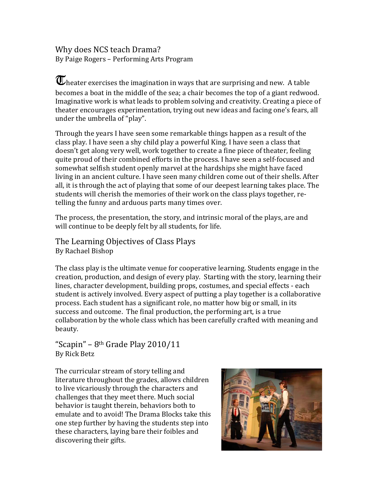Why does NCS teach Drama? By Paige Rogers – Performing Arts Program

 $\overline{\mathbf{U}}$ heater exercises the imagination in ways that are surprising and new. A table becomes a boat in the middle of the sea; a chair becomes the top of a giant redwood. Imaginative work is what leads to problem solving and creativity. Creating a piece of theater encourages experimentation, trying out new ideas and facing one's fears, all under the umbrella of "play".

Through the years I have seen some remarkable things happen as a result of the class play. I have seen a shy child play a powerful King. I have seen a class that doesn't get along very well, work together to create a fine piece of theater, feeling quite proud of their combined efforts in the process. I have seen a self-focused and somewhat selfish student openly marvel at the hardships she might have faced living in an ancient culture. I have seen many children come out of their shells. After all, it is through the act of playing that some of our deepest learning takes place. The students will cherish the memories of their work on the class plays together, retelling the funny and arduous parts many times over.

The process, the presentation, the story, and intrinsic moral of the plays, are and will continue to be deeply felt by all students, for life.

The Learning Objectives of Class Plays By Rachael Bishop

The class play is the ultimate venue for cooperative learning. Students engage in the creation, production, and design of every play. Starting with the story, learning their lines, character development, building props, costumes, and special effects - each student is actively involved. Every aspect of putting a play together is a collaborative process. Each student has a significant role, no matter how big or small, in its success and outcome. The final production, the performing art, is a true collaboration by the whole class which has been carefully crafted with meaning and beauty.

"Scapin" – 8<sup>th</sup> Grade Play  $2010/11$ By Rick Betz

The curricular stream of story telling and literature throughout the grades, allows children to live vicariously through the characters and challenges that they meet there. Much social behavior is taught therein, behaviors both to emulate and to avoid! The Drama Blocks take this one step further by having the students step into these characters, laying bare their foibles and discovering their gifts.

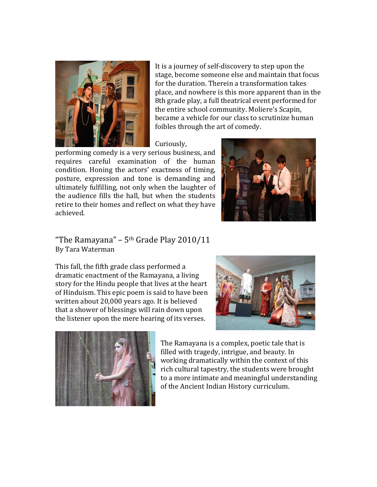

It is a journey of self-discovery to step upon the stage, become someone else and maintain that focus for the duration. Therein a transformation takes place, and nowhere is this more apparent than in the 8th grade play, a full theatrical event performed for the entire school community. Moliere's Scapin, became a vehicle for our class to scrutinize human foibles through the art of comedy.

## Curiously,

performing comedy is a very serious business, and requires careful examination of the human condition. Honing the actors' exactness of timing, posture, expression and tone is demanding and ultimately fulfilling, not only when the laughter of the audience fills the hall, but when the students retire to their homes and reflect on what they have achieved.



## "The Ramayana" –  $5<sup>th</sup>$  Grade Play 2010/11 By Tara Waterman

This fall, the fifth grade class performed a dramatic enactment of the Ramayana, a living story for the Hindu people that lives at the heart of Hinduism. This epic poem is said to have been written about 20,000 years ago. It is believed that a shower of blessings will rain down upon the listener upon the mere hearing of its verses.





The Ramayana is a complex, poetic tale that is filled with tragedy, intrigue, and beauty. In working dramatically within the context of this rich cultural tapestry, the students were brought to a more intimate and meaningful understanding of the Ancient Indian History curriculum.